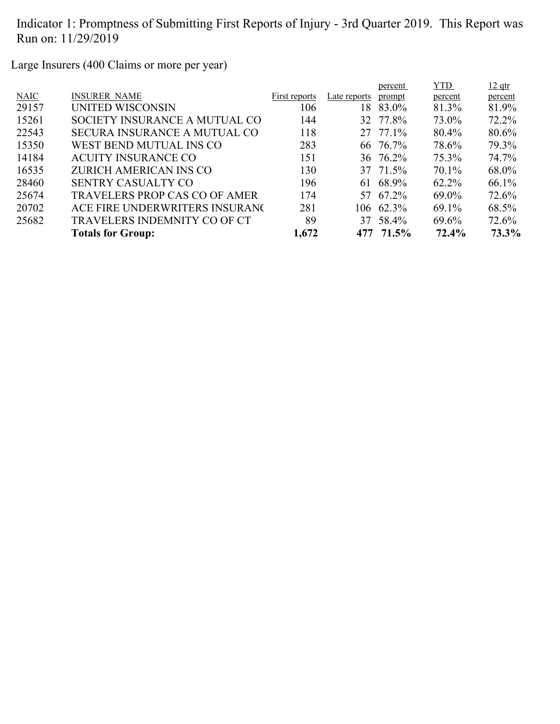Large Insurers (400 Claims or more per year)

|                                      |               |              | percent | <b>YTD</b>                                                                                              | $12$ qtr |
|--------------------------------------|---------------|--------------|---------|---------------------------------------------------------------------------------------------------------|----------|
| <b>INSURER NAME</b>                  | First reports | Late reports | prompt  | percent                                                                                                 | percent  |
| UNITED WISCONSIN                     | 106           | 18.          | 83.0%   | 81.3%                                                                                                   | 81.9%    |
| SOCIETY INSURANCE A MUTUAL CO        | 144           |              |         | 73.0%                                                                                                   | 72.2%    |
| <b>SECURA INSURANCE A MUTUAL CO</b>  | 118           |              |         | 80.4%                                                                                                   | 80.6%    |
| WEST BEND MUTUAL INS CO              | 283           |              |         | 78.6%                                                                                                   | 79.3%    |
| <b>ACUITY INSURANCE CO</b>           | 151           |              |         | 75.3%                                                                                                   | 74.7%    |
| <b>ZURICH AMERICAN INS CO</b>        | 130           |              |         | $70.1\%$                                                                                                | 68.0%    |
| <b>SENTRY CASUALTY CO</b>            | 196           | 61           | 68.9%   | $62.2\%$                                                                                                | 66.1%    |
| <b>TRAVELERS PROP CAS CO OF AMER</b> | 174           |              |         | 69.0%                                                                                                   | 72.6%    |
| ACE FIRE UNDERWRITERS INSURANC       | 281           |              |         | 69.1%                                                                                                   | 68.5%    |
| <b>TRAVELERS INDEMNITY CO OF CT</b>  | 89            | 37           |         | 69.6%                                                                                                   | 72.6%    |
| <b>Totals for Group:</b>             | 1,672         |              |         | 72.4%                                                                                                   | 73.3%    |
|                                      |               |              |         | 32 77.8%<br>27 77.1%<br>66 76.7%<br>36 76.2%<br>37 71.5%<br>57 67.2%<br>106 62.3%<br>58.4%<br>477 71.5% |          |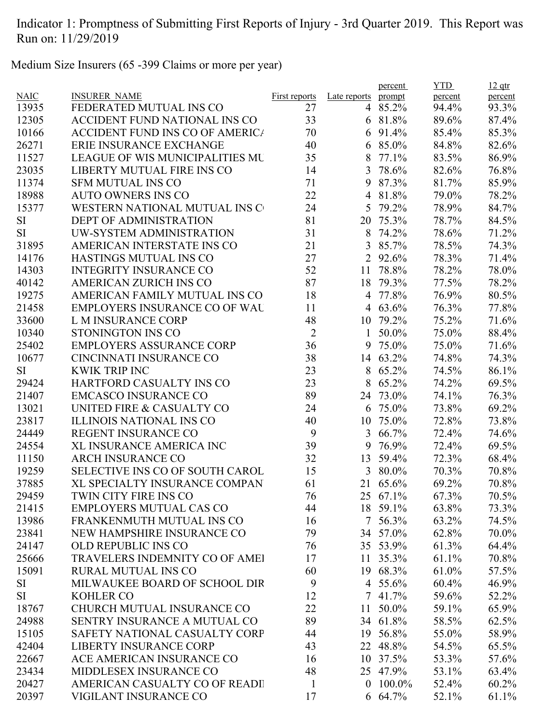Medium Size Insurers (65 -399 Claims or more per year)

|             |                                        |                |                | percent     | <b>YTD</b> | $12$ qtr |
|-------------|----------------------------------------|----------------|----------------|-------------|------------|----------|
| <b>NAIC</b> | <b>INSURER NAME</b>                    | First reports  | Late reports   | prompt      | percent    | percent  |
| 13935       | FEDERATED MUTUAL INS CO                | 27             |                | 4 85.2%     | 94.4%      | 93.3%    |
| 12305       | ACCIDENT FUND NATIONAL INS CO          | 33             |                | 6 81.8%     | 89.6%      | 87.4%    |
| 10166       | <b>ACCIDENT FUND INS CO OF AMERICA</b> | 70             | 6              | 91.4%       | 85.4%      | 85.3%    |
| 26271       | ERIE INSURANCE EXCHANGE                | 40             | 6              | 85.0%       | 84.8%      | 82.6%    |
| 11527       | <b>LEAGUE OF WIS MUNICIPALITIES MU</b> | 35             | 8              | 77.1%       | 83.5%      | 86.9%    |
| 23035       | LIBERTY MUTUAL FIRE INS CO             | 14             | 3              | 78.6%       | 82.6%      | 76.8%    |
| 11374       | <b>SFM MUTUAL INS CO</b>               | 71             | 9              | 87.3%       | 81.7%      | 85.9%    |
| 18988       | <b>AUTO OWNERS INS CO</b>              | 22             |                | 4 81.8%     | 79.0%      | 78.2%    |
| 15377       | WESTERN NATIONAL MUTUAL INS C          | 24             | 5              | 79.2%       | 78.9%      | 84.7%    |
| <b>SI</b>   | <b>DEPT OF ADMINISTRATION</b>          | 81             | 20             | 75.3%       | 78.7%      | 84.5%    |
| <b>SI</b>   | UW-SYSTEM ADMINISTRATION               | 31             | 8              | 74.2%       | 78.6%      | 71.2%    |
| 31895       | AMERICAN INTERSTATE INS CO             | 21             | 3              | 85.7%       | 78.5%      | 74.3%    |
| 14176       | HASTINGS MUTUAL INS CO                 | 27             |                | 2 92.6%     | 78.3%      | 71.4%    |
| 14303       | <b>INTEGRITY INSURANCE CO</b>          | 52             | 11             | 78.8%       | 78.2%      | 78.0%    |
| 40142       | <b>AMERICAN ZURICH INS CO</b>          | 87             |                | 18 79.3%    | 77.5%      | 78.2%    |
| 19275       | AMERICAN FAMILY MUTUAL INS CO          | 18             |                | 4 77.8%     | 76.9%      | 80.5%    |
| 21458       | <b>EMPLOYERS INSURANCE CO OF WAL</b>   | 11             |                | 4 63.6%     | 76.3%      | 77.8%    |
| 33600       | <b>L M INSURANCE CORP</b>              | 48             |                | 10 79.2%    | 75.2%      | 71.6%    |
| 10340       | STONINGTON INS CO                      | $\overline{2}$ | 1              | 50.0%       | 75.0%      | 88.4%    |
| 25402       | <b>EMPLOYERS ASSURANCE CORP</b>        | 36             | 9              | 75.0%       | 75.0%      | 71.6%    |
| 10677       | CINCINNATI INSURANCE CO                | 38             |                | 14 63.2%    | 74.8%      | 74.3%    |
| SI          | <b>KWIK TRIP INC</b>                   | 23             |                | 8 65.2%     | 74.5%      | 86.1%    |
| 29424       | HARTFORD CASUALTY INS CO               | 23             | 8              | 65.2%       | 74.2%      | 69.5%    |
| 21407       | <b>EMCASCO INSURANCE CO</b>            | 89             | 24             | 73.0%       | 74.1%      | 76.3%    |
| 13021       | UNITED FIRE & CASUALTY CO              | 24             | 6              | 75.0%       | 73.8%      | 69.2%    |
| 23817       | ILLINOIS NATIONAL INS CO               | 40             | 10             | 75.0%       | 72.8%      | 73.8%    |
| 24449       | <b>REGENT INSURANCE CO</b>             | 9              |                | 3 66.7%     | 72.4%      | 74.6%    |
| 24554       | XL INSURANCE AMERICA INC               | 39             | 9              | 76.9%       | 72.4%      | 69.5%    |
| 11150       | <b>ARCH INSURANCE CO</b>               | 32             | 13             | 59.4%       | 72.3%      | 68.4%    |
| 19259       | SELECTIVE INS CO OF SOUTH CAROL        | 15             |                | 3 80.0%     | 70.3%      | 70.8%    |
| 37885       | XL SPECIALTY INSURANCE COMPAN          | 61             |                | 21 65.6%    | 69.2%      | 70.8%    |
| 29459       | TWIN CITY FIRE INS CO                  | 76             |                | 25 67.1%    | 67.3%      | 70.5%    |
| 21415       | <b>EMPLOYERS MUTUAL CAS CO</b>         | 44             |                | 18 59.1%    | 63.8%      | 73.3%    |
| 13986       | FRANKENMUTH MUTUAL INS CO              | 16             |                | 7 56.3%     | 63.2%      | 74.5%    |
|             | NEW HAMPSHIRE INSURANCE CO             | 79             |                | 34 57.0%    |            |          |
| 23841       |                                        |                |                |             | 62.8%      | 70.0%    |
| 24147       | <b>OLD REPUBLIC INS CO</b>             | 76             |                | 35 53.9%    | 61.3%      | 64.4%    |
| 25666       | TRAVELERS INDEMNITY CO OF AMEI         | 17             | 11             | 35.3%       | 61.1%      | 70.8%    |
| 15091       | <b>RURAL MUTUAL INS CO</b>             | 60             |                | 19 68.3%    | 61.0%      | 57.5%    |
| <b>SI</b>   | MILWAUKEE BOARD OF SCHOOL DIR          | 9              |                | 4 55.6%     | 60.4%      | 46.9%    |
| <b>SI</b>   | <b>KOHLER CO</b>                       | 12             |                | $7\;41.7\%$ | 59.6%      | 52.2%    |
| 18767       | CHURCH MUTUAL INSURANCE CO             | 22             |                | 11 50.0%    | 59.1%      | 65.9%    |
| 24988       | SENTRY INSURANCE A MUTUAL CO           | 89             |                | 34 61.8%    | 58.5%      | 62.5%    |
| 15105       | SAFETY NATIONAL CASUALTY CORP          | 44             | 19             | 56.8%       | 55.0%      | 58.9%    |
| 42404       | <b>LIBERTY INSURANCE CORP</b>          | 43             |                | 22 48.8%    | 54.5%      | 65.5%    |
| 22667       | ACE AMERICAN INSURANCE CO              | 16             | 10             | 37.5%       | 53.3%      | 57.6%    |
| 23434       | MIDDLESEX INSURANCE CO                 | 48             |                | 25 47.9%    | 53.1%      | 63.4%    |
| 20427       | AMERICAN CASUALTY CO OF READI          | $\mathbf{1}$   | $\overline{0}$ | $100.0\%$   | 52.4%      | 60.2%    |
| 20397       | VIGILANT INSURANCE CO                  | 17             |                | 6 64.7%     | 52.1%      | 61.1%    |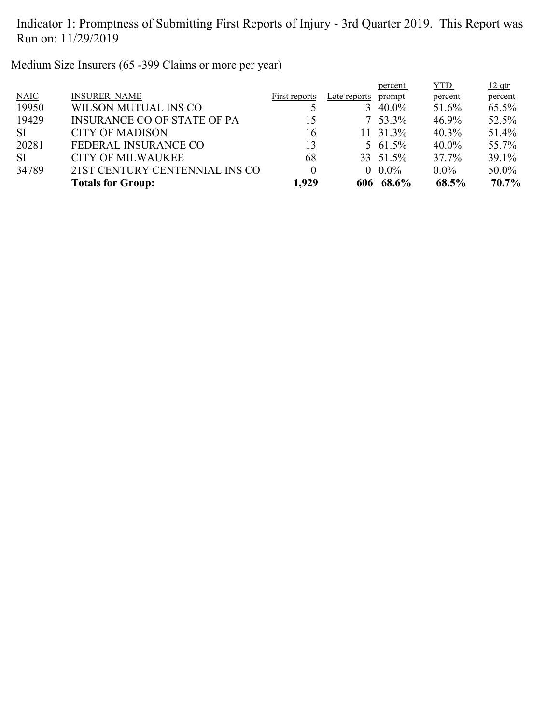Medium Size Insurers (65 -399 Claims or more per year)

|           |                                    |               |              | percent     | <b>YTD</b> | $12$ qtr |
|-----------|------------------------------------|---------------|--------------|-------------|------------|----------|
| NAIC      | <b>INSURER NAME</b>                | First reports | Late reports | prompt      | percent    | percent  |
| 19950     | WILSON MUTUAL INS CO               |               |              | 3 40.0%     | 51.6%      | 65.5%    |
| 19429     | <b>INSURANCE CO OF STATE OF PA</b> | 15            |              | $7\,53.3\%$ | 46.9%      | 52.5%    |
| <b>SI</b> | <b>CITY OF MADISON</b>             | 16            |              | 11 31.3%    | $40.3\%$   | 51.4%    |
| 20281     | FEDERAL INSURANCE CO               | 13            |              | 5 61.5%     | $40.0\%$   | 55.7%    |
| <b>SI</b> | <b>CITY OF MILWAUKEE</b>           | 68            |              | 33 51.5%    | 37.7%      | 39.1%    |
| 34789     | 21ST CENTURY CENTENNIAL INS CO     | 0             |              | $0.0\%$     | $0.0\%$    | 50.0%    |
|           | <b>Totals for Group:</b>           | 1,929         |              | 606 68.6%   | 68.5%      | 70.7%    |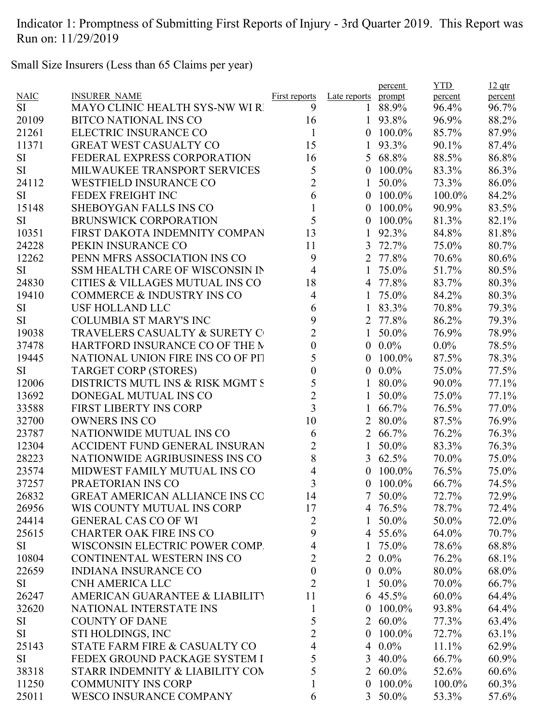Small Size Insurers (Less than 65 Claims per year)

|             |                                       |                         |                  | percent      | <b>YTD</b> | $12$ qtr |
|-------------|---------------------------------------|-------------------------|------------------|--------------|------------|----------|
| <b>NAIC</b> | <b>INSURER NAME</b>                   | <b>First reports</b>    | Late reports     | prompt       | percent    | percent  |
| <b>SI</b>   | <b>MAYO CLINIC HEALTH SYS-NW WI R</b> | 9                       | 1                | 88.9%        | 96.4%      | 96.7%    |
| 20109       | <b>BITCO NATIONAL INS CO</b>          | 16                      | 1                | 93.8%        | 96.9%      | 88.2%    |
| 21261       | ELECTRIC INSURANCE CO                 | $\mathbf{1}$            | $\mathbf{0}$     | 100.0%       | 85.7%      | 87.9%    |
| 11371       | <b>GREAT WEST CASUALTY CO</b>         | 15                      | 1                | 93.3%        | 90.1%      | 87.4%    |
| <b>SI</b>   | FEDERAL EXPRESS CORPORATION           | 16                      |                  | 5 68.8%      | 88.5%      | 86.8%    |
| <b>SI</b>   | MILWAUKEE TRANSPORT SERVICES          | 5                       | $\boldsymbol{0}$ | 100.0%       | 83.3%      | 86.3%    |
| 24112       | <b>WESTFIELD INSURANCE CO</b>         | $\overline{2}$          | 1                | 50.0%        | 73.3%      | 86.0%    |
| <b>SI</b>   | FEDEX FREIGHT INC                     | 6                       | $\overline{0}$   | $100.0\%$    | 100.0%     | 84.2%    |
| 15148       | <b>SHEBOYGAN FALLS INS CO</b>         | $\mathbf{1}$            | $\overline{0}$   | 100.0%       | 90.9%      | 83.5%    |
| <b>SI</b>   | <b>BRUNSWICK CORPORATION</b>          | 5                       | $\theta$         | 100.0%       | 81.3%      | 82.1%    |
| 10351       | FIRST DAKOTA INDEMNITY COMPAN         | 13                      | 1                | 92.3%        | 84.8%      | 81.8%    |
| 24228       | PEKIN INSURANCE CO                    | 11                      | 3                | 72.7%        | 75.0%      | 80.7%    |
| 12262       | PENN MFRS ASSOCIATION INS CO          | 9                       | 2                | 77.8%        | 70.6%      | 80.6%    |
| <b>SI</b>   | SSM HEALTH CARE OF WISCONSIN IN       | 4                       | 1                | 75.0%        | 51.7%      | 80.5%    |
| 24830       | CITIES & VILLAGES MUTUAL INS CO       | 18                      | 4                | 77.8%        | 83.7%      | 80.3%    |
| 19410       | <b>COMMERCE &amp; INDUSTRY INS CO</b> | 4                       |                  | 75.0%        | 84.2%      | 80.3%    |
| <b>SI</b>   | <b>USF HOLLAND LLC</b>                | 6                       | 1                | 83.3%        | 70.8%      | 79.3%    |
| <b>SI</b>   | <b>COLUMBIA ST MARY'S INC</b>         | 9                       |                  | 2 77.8%      | 86.2%      | 79.3%    |
| 19038       | TRAVELERS CASUALTY & SURETY C         | $\overline{2}$          | 1                | 50.0%        | 76.9%      | 78.9%    |
| 37478       | HARTFORD INSURANCE CO OF THE M        | $\boldsymbol{0}$        | $\boldsymbol{0}$ | $0.0\%$      | $0.0\%$    | 78.5%    |
| 19445       | NATIONAL UNION FIRE INS CO OF PIT     | 5                       | $\boldsymbol{0}$ | 100.0%       | 87.5%      | 78.3%    |
| <b>SI</b>   | <b>TARGET CORP (STORES)</b>           | $\boldsymbol{0}$        | $\mathbf{0}$     | $0.0\%$      | 75.0%      | 77.5%    |
| 12006       | DISTRICTS MUTL INS & RISK MGMT S      | 5                       |                  | 80.0%        | 90.0%      | 77.1%    |
| 13692       | DONEGAL MUTUAL INS CO                 | $\overline{2}$          |                  | 50.0%        | 75.0%      | 77.1%    |
| 33588       | <b>FIRST LIBERTY INS CORP</b>         | $\overline{\mathbf{3}}$ | 1                | 66.7%        | 76.5%      | 77.0%    |
| 32700       | <b>OWNERS INS CO</b>                  | 10                      | $\overline{2}$   | 80.0%        | 87.5%      | 76.9%    |
| 23787       | NATIONWIDE MUTUAL INS CO              | 6                       | 2                | 66.7%        | 76.2%      | 76.3%    |
| 12304       | <b>ACCIDENT FUND GENERAL INSURAN</b>  | $\overline{2}$          | 1                | 50.0%        | 83.3%      | 76.3%    |
| 28223       | NATIONWIDE AGRIBUSINESS INS CO        | 8                       | 3                | 62.5%        | 70.0%      | 75.0%    |
| 23574       | MIDWEST FAMILY MUTUAL INS CO          | 4                       | $\theta$         | 100.0%       | 76.5%      | 75.0%    |
| 37257       | PRAETORIAN INS CO                     | $\overline{\mathbf{3}}$ | $\boldsymbol{0}$ | $100.0\%$    | 66.7%      | 74.5%    |
| 26832       | <b>GREAT AMERICAN ALLIANCE INS CO</b> | 14                      |                  | 7 50.0%      | 72.7%      | 72.9%    |
| 26956       | WIS COUNTY MUTUAL INS CORP            | 17                      |                  | 4 76.5%      | 78.7%      | 72.4%    |
| 24414       | <b>GENERAL CAS CO OF WI</b>           | $\overline{2}$          | 1                | 50.0%        | 50.0%      | 72.0%    |
| 25615       | <b>CHARTER OAK FIRE INS CO</b>        | 9                       |                  | 4 55.6%      | 64.0%      | 70.7%    |
| SI.         | WISCONSIN ELECTRIC POWER COMP.        | 4                       | $\mathbf{1}$     | 75.0%        | 78.6%      | 68.8%    |
| 10804       | CONTINENTAL WESTERN INS CO            | $\overline{2}$          |                  | $2\ \ 0.0\%$ | 76.2%      | 68.1%    |
| 22659       | <b>INDIANA INSURANCE CO</b>           | $\boldsymbol{0}$        |                  | $0.0\%$      | 80.0%      | 68.0%    |
| SI          | <b>CNH AMERICA LLC</b>                | $\overline{2}$          | 1                | 50.0%        | 70.0%      | 66.7%    |
| 26247       | AMERICAN GUARANTEE & LIABILITY        | 11                      |                  | 6 $45.5\%$   | 60.0%      | 64.4%    |
| 32620       | NATIONAL INTERSTATE INS               | $\mathbf{1}$            |                  | $0$ 100.0%   | 93.8%      | 64.4%    |
| SI          | <b>COUNTY OF DANE</b>                 | 5                       |                  | 2 60.0%      | 77.3%      | 63.4%    |
| SI          | STI HOLDINGS, INC                     | $\overline{2}$          | $\mathbf{0}$     | 100.0%       | 72.7%      | 63.1%    |
| 25143       | STATE FARM FIRE & CASUALTY CO         | 4                       |                  | $40.0\%$     | 11.1%      | 62.9%    |
| <b>SI</b>   | FEDEX GROUND PACKAGE SYSTEM I         | 5                       | 3                | $40.0\%$     | 66.7%      | 60.9%    |
| 38318       | STARR INDEMNITY & LIABILITY COM       | 5                       |                  | 2 $60.0\%$   | 52.6%      | 60.6%    |
| 11250       | <b>COMMUNITY INS CORP</b>             | 1                       | $\overline{0}$   | $100.0\%$    | 100.0%     | 60.3%    |
| 25011       | <b>WESCO INSURANCE COMPANY</b>        | 6                       |                  | 3 50.0%      | 53.3%      | 57.6%    |
|             |                                       |                         |                  |              |            |          |